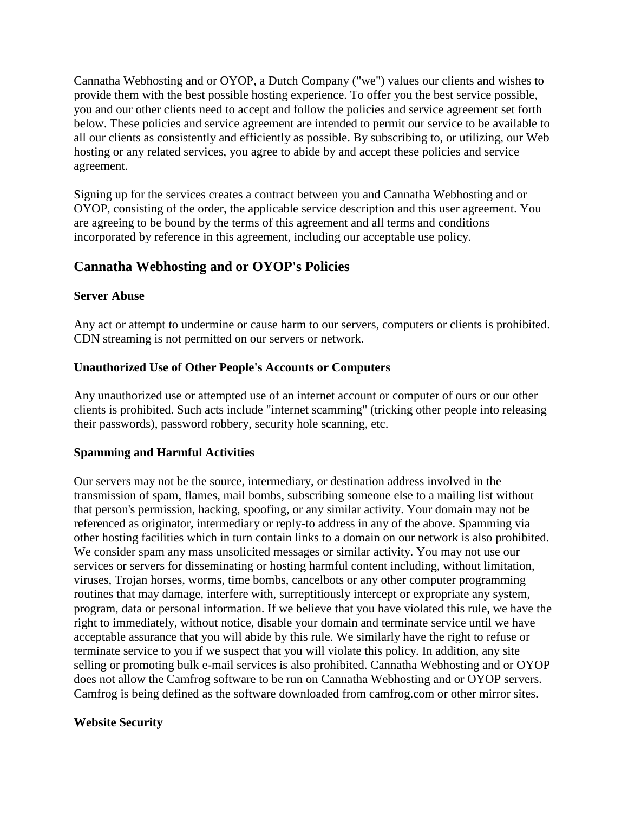Cannatha Webhosting and or OYOP, a Dutch Company ("we") values our clients and wishes to provide them with the best possible hosting experience. To offer you the best service possible, you and our other clients need to accept and follow the policies and service agreement set forth below. These policies and service agreement are intended to permit our service to be available to all our clients as consistently and efficiently as possible. By subscribing to, or utilizing, our Web hosting or any related services, you agree to abide by and accept these policies and service agreement.

Signing up for the services creates a contract between you and Cannatha Webhosting and or OYOP, consisting of the order, the applicable service description and this user agreement. You are agreeing to be bound by the terms of this agreement and all terms and conditions incorporated by reference in this agreement, including our acceptable use policy.

# **Cannatha Webhosting and or OYOP's Policies**

## **Server Abuse**

Any act or attempt to undermine or cause harm to our servers, computers or clients is prohibited. CDN streaming is not permitted on our servers or network.

# **Unauthorized Use of Other People's Accounts or Computers**

Any unauthorized use or attempted use of an internet account or computer of ours or our other clients is prohibited. Such acts include "internet scamming" (tricking other people into releasing their passwords), password robbery, security hole scanning, etc.

## **Spamming and Harmful Activities**

Our servers may not be the source, intermediary, or destination address involved in the transmission of spam, flames, mail bombs, subscribing someone else to a mailing list without that person's permission, hacking, spoofing, or any similar activity. Your domain may not be referenced as originator, intermediary or reply-to address in any of the above. Spamming via other hosting facilities which in turn contain links to a domain on our network is also prohibited. We consider spam any mass unsolicited messages or similar activity. You may not use our services or servers for disseminating or hosting harmful content including, without limitation, viruses, Trojan horses, worms, time bombs, cancelbots or any other computer programming routines that may damage, interfere with, surreptitiously intercept or expropriate any system, program, data or personal information. If we believe that you have violated this rule, we have the right to immediately, without notice, disable your domain and terminate service until we have acceptable assurance that you will abide by this rule. We similarly have the right to refuse or terminate service to you if we suspect that you will violate this policy. In addition, any site selling or promoting bulk e-mail services is also prohibited. Cannatha Webhosting and or OYOP does not allow the Camfrog software to be run on Cannatha Webhosting and or OYOP servers. Camfrog is being defined as the software downloaded from camfrog.com or other mirror sites.

## **Website Security**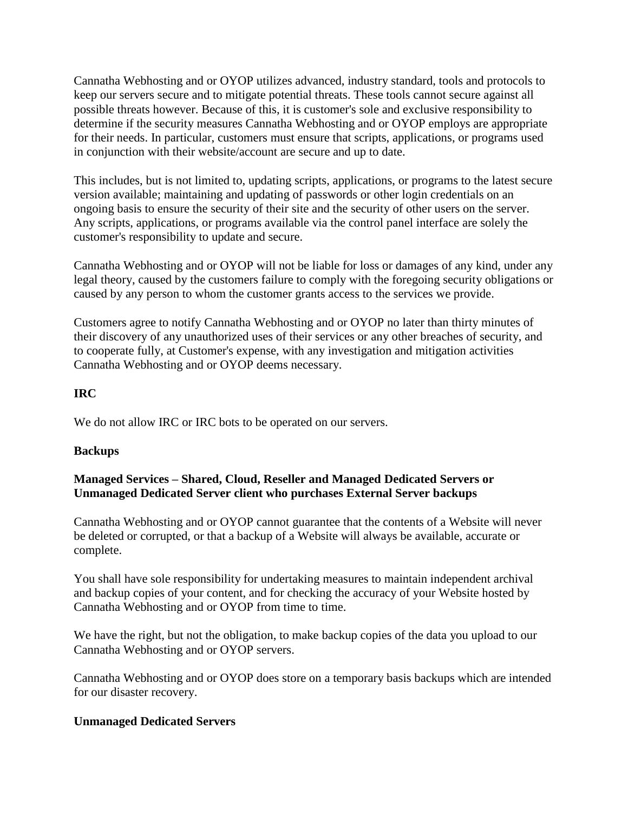Cannatha Webhosting and or OYOP utilizes advanced, industry standard, tools and protocols to keep our servers secure and to mitigate potential threats. These tools cannot secure against all possible threats however. Because of this, it is customer's sole and exclusive responsibility to determine if the security measures Cannatha Webhosting and or OYOP employs are appropriate for their needs. In particular, customers must ensure that scripts, applications, or programs used in conjunction with their website/account are secure and up to date.

This includes, but is not limited to, updating scripts, applications, or programs to the latest secure version available; maintaining and updating of passwords or other login credentials on an ongoing basis to ensure the security of their site and the security of other users on the server. Any scripts, applications, or programs available via the control panel interface are solely the customer's responsibility to update and secure.

Cannatha Webhosting and or OYOP will not be liable for loss or damages of any kind, under any legal theory, caused by the customers failure to comply with the foregoing security obligations or caused by any person to whom the customer grants access to the services we provide.

Customers agree to notify Cannatha Webhosting and or OYOP no later than thirty minutes of their discovery of any unauthorized uses of their services or any other breaches of security, and to cooperate fully, at Customer's expense, with any investigation and mitigation activities Cannatha Webhosting and or OYOP deems necessary.

#### **IRC**

We do not allow IRC or IRC bots to be operated on our servers.

## **Backups**

## **Managed Services – Shared, Cloud, Reseller and Managed Dedicated Servers or Unmanaged Dedicated Server client who purchases External Server backups**

Cannatha Webhosting and or OYOP cannot guarantee that the contents of a Website will never be deleted or corrupted, or that a backup of a Website will always be available, accurate or complete.

You shall have sole responsibility for undertaking measures to maintain independent archival and backup copies of your content, and for checking the accuracy of your Website hosted by Cannatha Webhosting and or OYOP from time to time.

We have the right, but not the obligation, to make backup copies of the data you upload to our Cannatha Webhosting and or OYOP servers.

Cannatha Webhosting and or OYOP does store on a temporary basis backups which are intended for our disaster recovery.

## **Unmanaged Dedicated Servers**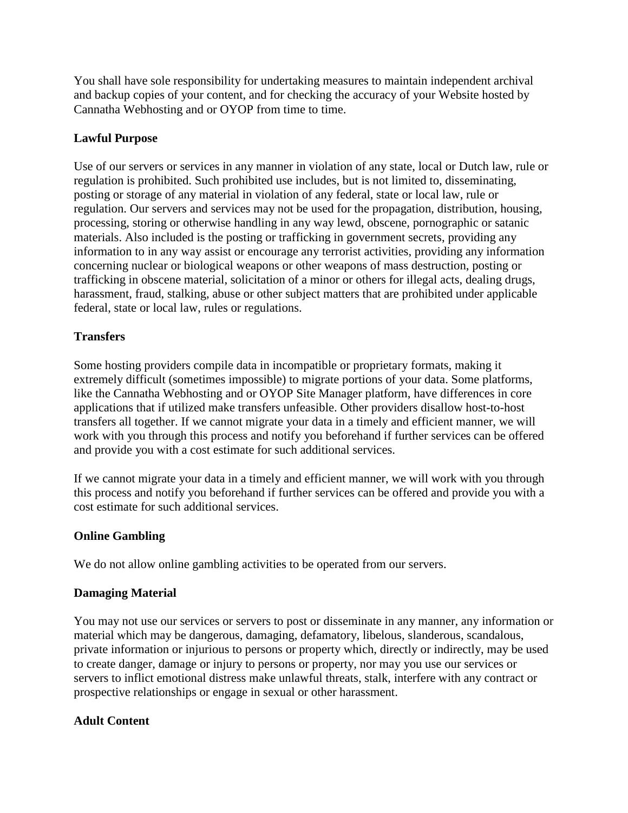You shall have sole responsibility for undertaking measures to maintain independent archival and backup copies of your content, and for checking the accuracy of your Website hosted by Cannatha Webhosting and or OYOP from time to time.

# **Lawful Purpose**

Use of our servers or services in any manner in violation of any state, local or Dutch law, rule or regulation is prohibited. Such prohibited use includes, but is not limited to, disseminating, posting or storage of any material in violation of any federal, state or local law, rule or regulation. Our servers and services may not be used for the propagation, distribution, housing, processing, storing or otherwise handling in any way lewd, obscene, pornographic or satanic materials. Also included is the posting or trafficking in government secrets, providing any information to in any way assist or encourage any terrorist activities, providing any information concerning nuclear or biological weapons or other weapons of mass destruction, posting or trafficking in obscene material, solicitation of a minor or others for illegal acts, dealing drugs, harassment, fraud, stalking, abuse or other subject matters that are prohibited under applicable federal, state or local law, rules or regulations.

## **Transfers**

Some hosting providers compile data in incompatible or proprietary formats, making it extremely difficult (sometimes impossible) to migrate portions of your data. Some platforms, like the Cannatha Webhosting and or OYOP Site Manager platform, have differences in core applications that if utilized make transfers unfeasible. Other providers disallow host-to-host transfers all together. If we cannot migrate your data in a timely and efficient manner, we will work with you through this process and notify you beforehand if further services can be offered and provide you with a cost estimate for such additional services.

If we cannot migrate your data in a timely and efficient manner, we will work with you through this process and notify you beforehand if further services can be offered and provide you with a cost estimate for such additional services.

## **Online Gambling**

We do not allow online gambling activities to be operated from our servers.

## **Damaging Material**

You may not use our services or servers to post or disseminate in any manner, any information or material which may be dangerous, damaging, defamatory, libelous, slanderous, scandalous, private information or injurious to persons or property which, directly or indirectly, may be used to create danger, damage or injury to persons or property, nor may you use our services or servers to inflict emotional distress make unlawful threats, stalk, interfere with any contract or prospective relationships or engage in sexual or other harassment.

## **Adult Content**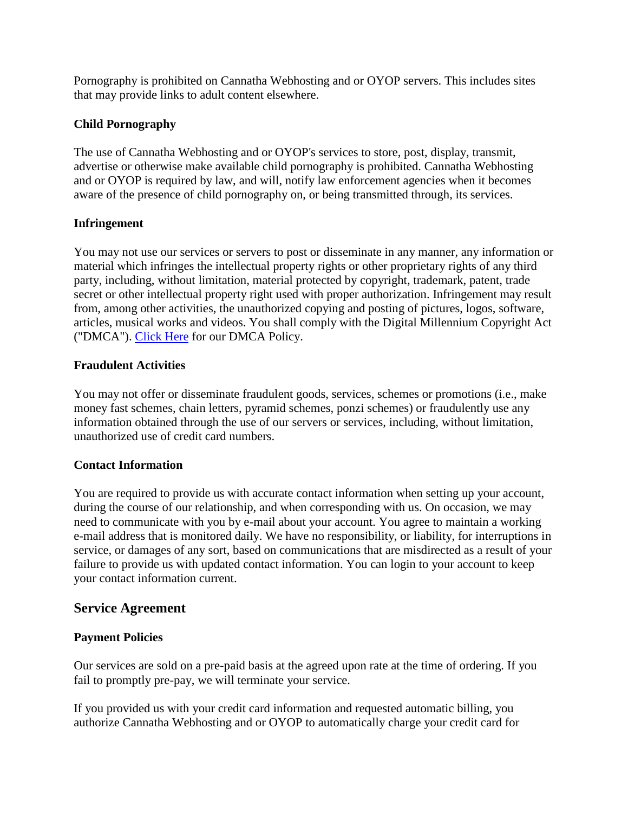Pornography is prohibited on Cannatha Webhosting and or OYOP servers. This includes sites that may provide links to adult content elsewhere.

## **Child Pornography**

The use of Cannatha Webhosting and or OYOP's services to store, post, display, transmit, advertise or otherwise make available child pornography is prohibited. Cannatha Webhosting and or OYOP is required by law, and will, notify law enforcement agencies when it becomes aware of the presence of child pornography on, or being transmitted through, its services.

## **Infringement**

You may not use our services or servers to post or disseminate in any manner, any information or material which infringes the intellectual property rights or other proprietary rights of any third party, including, without limitation, material protected by copyright, trademark, patent, trade secret or other intellectual property right used with proper authorization. Infringement may result from, among other activities, the unauthorized copying and posting of pictures, logos, software, articles, musical works and videos. You shall comply with the Digital Millennium Copyright Act ("DMCA"). [Click Here](http://www.westhost.com/policies/dmca.html) for our DMCA Policy.

## **Fraudulent Activities**

You may not offer or disseminate fraudulent goods, services, schemes or promotions (i.e., make money fast schemes, chain letters, pyramid schemes, ponzi schemes) or fraudulently use any information obtained through the use of our servers or services, including, without limitation, unauthorized use of credit card numbers.

## **Contact Information**

You are required to provide us with accurate contact information when setting up your account, during the course of our relationship, and when corresponding with us. On occasion, we may need to communicate with you by e-mail about your account. You agree to maintain a working e-mail address that is monitored daily. We have no responsibility, or liability, for interruptions in service, or damages of any sort, based on communications that are misdirected as a result of your failure to provide us with updated contact information. You can login to your account to keep your contact information current.

## **Service Agreement**

## **Payment Policies**

Our services are sold on a pre-paid basis at the agreed upon rate at the time of ordering. If you fail to promptly pre-pay, we will terminate your service.

If you provided us with your credit card information and requested automatic billing, you authorize Cannatha Webhosting and or OYOP to automatically charge your credit card for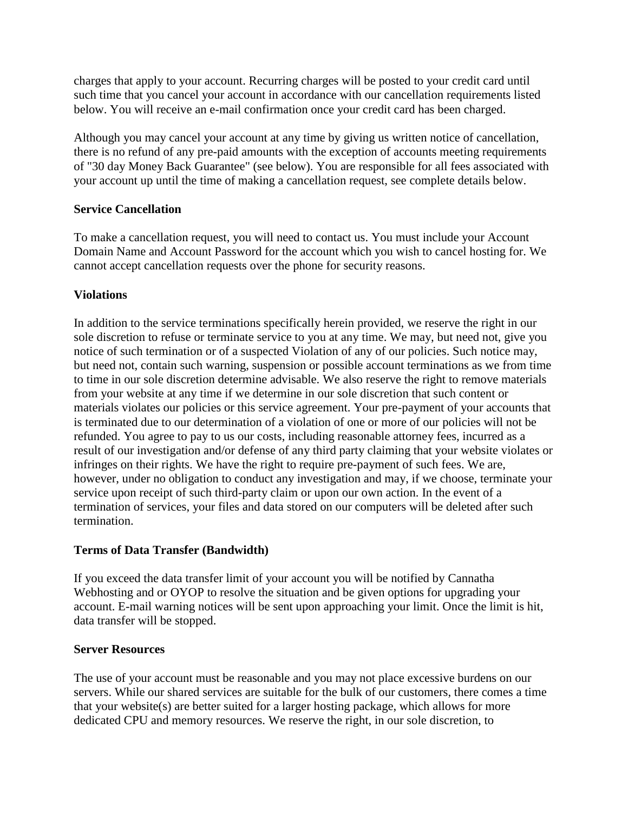charges that apply to your account. Recurring charges will be posted to your credit card until such time that you cancel your account in accordance with our cancellation requirements listed below. You will receive an e-mail confirmation once your credit card has been charged.

Although you may cancel your account at any time by giving us written notice of cancellation, there is no refund of any pre-paid amounts with the exception of accounts meeting requirements of "30 day Money Back Guarantee" (see below). You are responsible for all fees associated with your account up until the time of making a cancellation request, see complete details below.

## **Service Cancellation**

To make a cancellation request, you will need to contact us. You must include your Account Domain Name and Account Password for the account which you wish to cancel hosting for. We cannot accept cancellation requests over the phone for security reasons.

## **Violations**

In addition to the service terminations specifically herein provided, we reserve the right in our sole discretion to refuse or terminate service to you at any time. We may, but need not, give you notice of such termination or of a suspected Violation of any of our policies. Such notice may, but need not, contain such warning, suspension or possible account terminations as we from time to time in our sole discretion determine advisable. We also reserve the right to remove materials from your website at any time if we determine in our sole discretion that such content or materials violates our policies or this service agreement. Your pre-payment of your accounts that is terminated due to our determination of a violation of one or more of our policies will not be refunded. You agree to pay to us our costs, including reasonable attorney fees, incurred as a result of our investigation and/or defense of any third party claiming that your website violates or infringes on their rights. We have the right to require pre-payment of such fees. We are, however, under no obligation to conduct any investigation and may, if we choose, terminate your service upon receipt of such third-party claim or upon our own action. In the event of a termination of services, your files and data stored on our computers will be deleted after such termination.

## **Terms of Data Transfer (Bandwidth)**

If you exceed the data transfer limit of your account you will be notified by Cannatha Webhosting and or OYOP to resolve the situation and be given options for upgrading your account. E-mail warning notices will be sent upon approaching your limit. Once the limit is hit, data transfer will be stopped.

## **Server Resources**

The use of your account must be reasonable and you may not place excessive burdens on our servers. While our shared services are suitable for the bulk of our customers, there comes a time that your website(s) are better suited for a larger hosting package, which allows for more dedicated CPU and memory resources. We reserve the right, in our sole discretion, to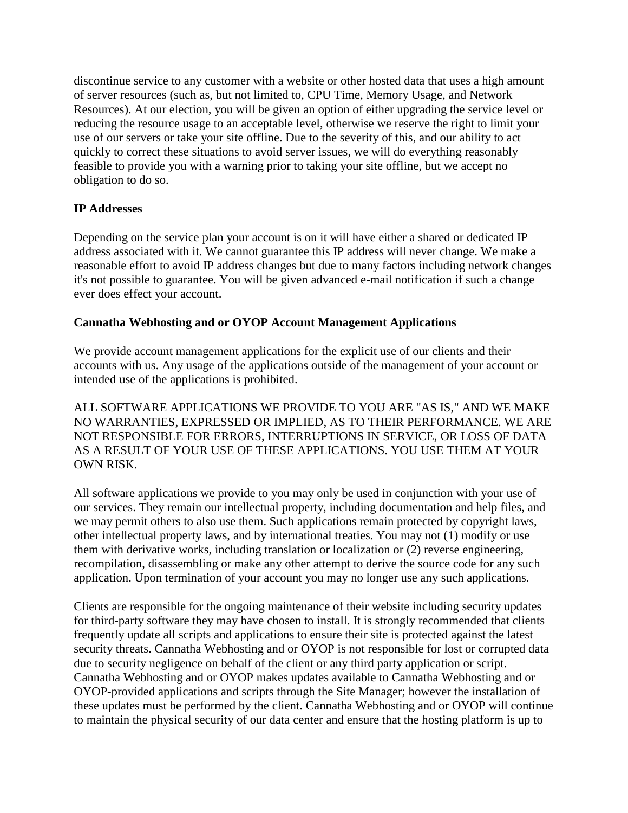discontinue service to any customer with a website or other hosted data that uses a high amount of server resources (such as, but not limited to, CPU Time, Memory Usage, and Network Resources). At our election, you will be given an option of either upgrading the service level or reducing the resource usage to an acceptable level, otherwise we reserve the right to limit your use of our servers or take your site offline. Due to the severity of this, and our ability to act quickly to correct these situations to avoid server issues, we will do everything reasonably feasible to provide you with a warning prior to taking your site offline, but we accept no obligation to do so.

# **IP Addresses**

Depending on the service plan your account is on it will have either a shared or dedicated IP address associated with it. We cannot guarantee this IP address will never change. We make a reasonable effort to avoid IP address changes but due to many factors including network changes it's not possible to guarantee. You will be given advanced e-mail notification if such a change ever does effect your account.

## **Cannatha Webhosting and or OYOP Account Management Applications**

We provide account management applications for the explicit use of our clients and their accounts with us. Any usage of the applications outside of the management of your account or intended use of the applications is prohibited.

ALL SOFTWARE APPLICATIONS WE PROVIDE TO YOU ARE "AS IS," AND WE MAKE NO WARRANTIES, EXPRESSED OR IMPLIED, AS TO THEIR PERFORMANCE. WE ARE NOT RESPONSIBLE FOR ERRORS, INTERRUPTIONS IN SERVICE, OR LOSS OF DATA AS A RESULT OF YOUR USE OF THESE APPLICATIONS. YOU USE THEM AT YOUR OWN RISK.

All software applications we provide to you may only be used in conjunction with your use of our services. They remain our intellectual property, including documentation and help files, and we may permit others to also use them. Such applications remain protected by copyright laws, other intellectual property laws, and by international treaties. You may not (1) modify or use them with derivative works, including translation or localization or (2) reverse engineering, recompilation, disassembling or make any other attempt to derive the source code for any such application. Upon termination of your account you may no longer use any such applications.

Clients are responsible for the ongoing maintenance of their website including security updates for third-party software they may have chosen to install. It is strongly recommended that clients frequently update all scripts and applications to ensure their site is protected against the latest security threats. Cannatha Webhosting and or OYOP is not responsible for lost or corrupted data due to security negligence on behalf of the client or any third party application or script. Cannatha Webhosting and or OYOP makes updates available to Cannatha Webhosting and or OYOP-provided applications and scripts through the Site Manager; however the installation of these updates must be performed by the client. Cannatha Webhosting and or OYOP will continue to maintain the physical security of our data center and ensure that the hosting platform is up to